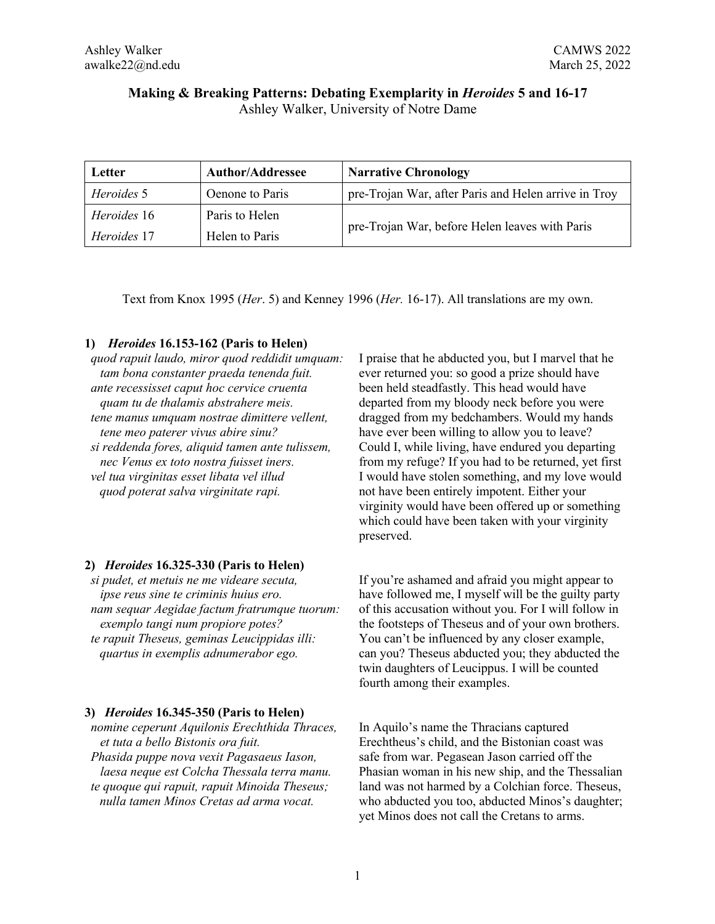# **Making & Breaking Patterns: Debating Exemplarity in** *Heroides* **5 and 16-17** Ashley Walker, University of Notre Dame

| Letter      | <b>Author/Addressee</b> | <b>Narrative Chronology</b>                          |
|-------------|-------------------------|------------------------------------------------------|
| Heroides 5  | Oenone to Paris         | pre-Trojan War, after Paris and Helen arrive in Troy |
| Heroides 16 | Paris to Helen          | pre-Trojan War, before Helen leaves with Paris       |
| Heroides 17 | Helen to Paris          |                                                      |

Text from Knox 1995 (*Her*. 5) and Kenney 1996 (*Her.* 16-17). All translations are my own.

## **1)** *Heroides* **16.153-162 (Paris to Helen)**

*quod rapuit laudo, miror quod reddidit umquam: tam bona constanter praeda tenenda fuit. ante recessisset caput hoc cervice cruenta quam tu de thalamis abstrahere meis. tene manus umquam nostrae dimittere vellent, tene meo paterer vivus abire sinu? si reddenda fores, aliquid tamen ante tulissem, nec Venus ex toto nostra fuisset iners. vel tua virginitas esset libata vel illud quod poterat salva virginitate rapi.*

## **2)** *Heroides* **16.325-330 (Paris to Helen)**

*si pudet, et metuis ne me videare secuta, ipse reus sine te criminis huius ero. nam sequar Aegidae factum fratrumque tuorum: exemplo tangi num propiore potes? te rapuit Theseus, geminas Leucippidas illi: quartus in exemplis adnumerabor ego.*

## **3)** *Heroides* **16.345-350 (Paris to Helen)**

*nomine ceperunt Aquilonis Erechthida Thraces, et tuta a bello Bistonis ora fuit. Phasida puppe nova vexit Pagasaeus Iason, laesa neque est Colcha Thessala terra manu. te quoque qui rapuit, rapuit Minoida Theseus; nulla tamen Minos Cretas ad arma vocat.*

I praise that he abducted you, but I marvel that he ever returned you: so good a prize should have been held steadfastly. This head would have departed from my bloody neck before you were dragged from my bedchambers. Would my hands have ever been willing to allow you to leave? Could I, while living, have endured you departing from my refuge? If you had to be returned, yet first I would have stolen something, and my love would not have been entirely impotent. Either your virginity would have been offered up or something which could have been taken with your virginity preserved.

If you're ashamed and afraid you might appear to have followed me, I myself will be the guilty party of this accusation without you. For I will follow in the footsteps of Theseus and of your own brothers. You can't be influenced by any closer example, can you? Theseus abducted you; they abducted the twin daughters of Leucippus. I will be counted fourth among their examples.

In Aquilo's name the Thracians captured Erechtheus's child, and the Bistonian coast was safe from war. Pegasean Jason carried off the Phasian woman in his new ship, and the Thessalian land was not harmed by a Colchian force. Theseus, who abducted you too, abducted Minos's daughter; yet Minos does not call the Cretans to arms.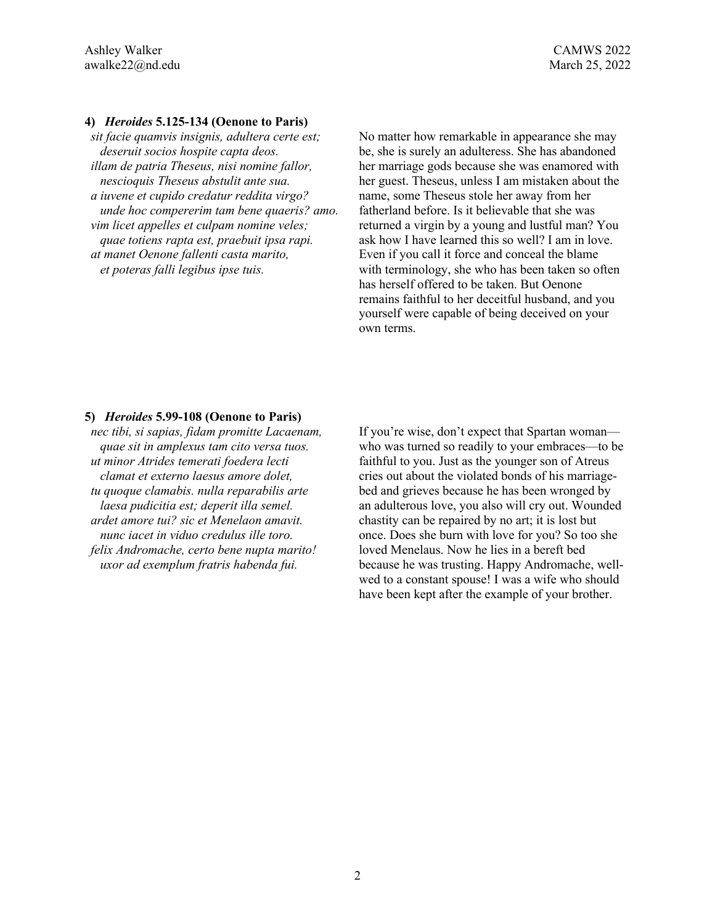## **4)** *Heroides* **5.125-134 (Oenone to Paris)**

*sit facie quamvis insignis, adultera certe est; deseruit socios hospite capta deos. illam de patria Theseus, nisi nomine fallor, nescioquis Theseus abstulit ante sua. a iuvene et cupido credatur reddita virgo? unde hoc compererim tam bene quaeris? amo. vim licet appelles et culpam nomine veles; quae totiens rapta est, praebuit ipsa rapi. at manet Oenone fallenti casta marito, et poteras falli legibus ipse tuis.*

No matter how remarkable in appearance she may be, she is surely an adulteress. She has abandoned her marriage gods because she was enamored with her guest. Theseus, unless I am mistaken about the name, some Theseus stole her away from her fatherland before. Is it believable that she was returned a virgin by a young and lustful man? You ask how I have learned this so well? I am in love. Even if you call it force and conceal the blame with terminology, she who has been taken so often has herself offered to be taken. But Oenone remains faithful to her deceitful husband, and you yourself were capable of being deceived on your own terms.

#### **5)** *Heroides* **5.99-108 (Oenone to Paris)**

*nec tibi, si sapias, fidam promitte Lacaenam, quae sit in amplexus tam cito versa tuos. ut minor Atrides temerati foedera lecti clamat et externo laesus amore dolet, tu quoque clamabis. nulla reparabilis arte laesa pudicitia est; deperit illa semel. ardet amore tui? sic et Menelaon amavit. nunc iacet in viduo credulus ille toro. felix Andromache, certo bene nupta marito! uxor ad exemplum fratris habenda fui.*

If you're wise, don't expect that Spartan woman who was turned so readily to your embraces—to be faithful to you. Just as the younger son of Atreus cries out about the violated bonds of his marriagebed and grieves because he has been wronged by an adulterous love, you also will cry out. Wounded chastity can be repaired by no art; it is lost but once. Does she burn with love for you? So too she loved Menelaus. Now he lies in a bereft bed because he was trusting. Happy Andromache, wellwed to a constant spouse! I was a wife who should have been kept after the example of your brother.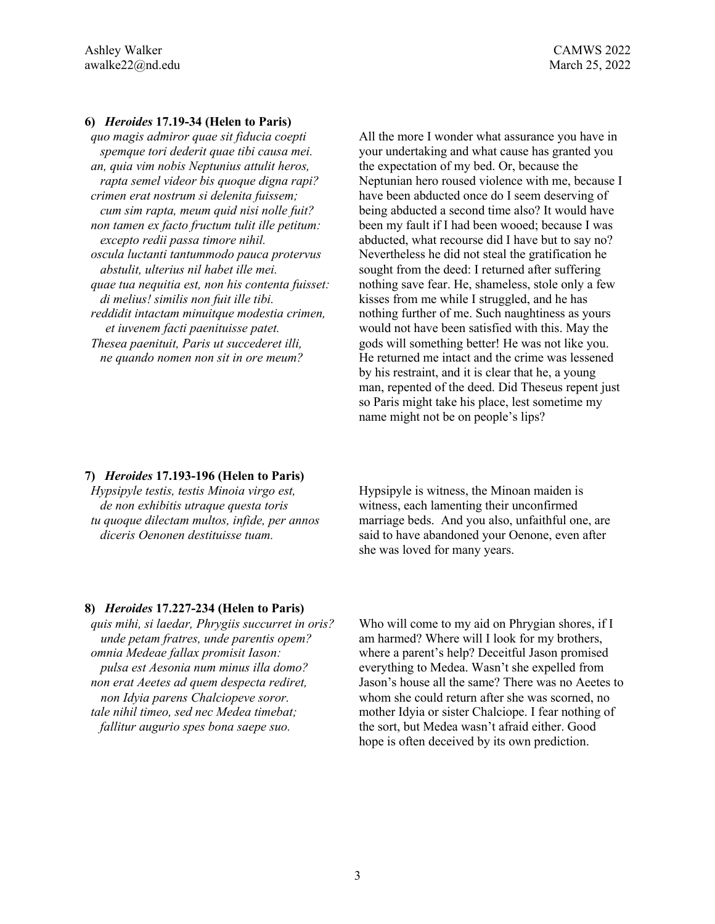#### **6)** *Heroides* **17.19-34 (Helen to Paris)**

*quo magis admiror quae sit fiducia coepti spemque tori dederit quae tibi causa mei. an, quia vim nobis Neptunius attulit heros, rapta semel videor bis quoque digna rapi? crimen erat nostrum si delenita fuissem; cum sim rapta, meum quid nisi nolle fuit? non tamen ex facto fructum tulit ille petitum: excepto redii passa timore nihil. oscula luctanti tantummodo pauca protervus abstulit, ulterius nil habet ille mei. quae tua nequitia est, non his contenta fuisset: di melius! similis non fuit ille tibi. reddidit intactam minuitque modestia crimen, et iuvenem facti paenituisse patet. Thesea paenituit, Paris ut succederet illi, ne quando nomen non sit in ore meum?*

All the more I wonder what assurance you have in your undertaking and what cause has granted you the expectation of my bed. Or, because the Neptunian hero roused violence with me, because I have been abducted once do I seem deserving of being abducted a second time also? It would have been my fault if I had been wooed; because I was abducted, what recourse did I have but to say no? Nevertheless he did not steal the gratification he sought from the deed: I returned after suffering nothing save fear. He, shameless, stole only a few kisses from me while I struggled, and he has nothing further of me. Such naughtiness as yours would not have been satisfied with this. May the gods will something better! He was not like you. He returned me intact and the crime was lessened by his restraint, and it is clear that he, a young man, repented of the deed. Did Theseus repent just so Paris might take his place, lest sometime my name might not be on people's lips?

#### **7)** *Heroides* **17.193-196 (Helen to Paris)**

*Hypsipyle testis, testis Minoia virgo est, de non exhibitis utraque questa toris tu quoque dilectam multos, infide, per annos diceris Oenonen destituisse tuam.*

Hypsipyle is witness, the Minoan maiden is witness, each lamenting their unconfirmed marriage beds. And you also, unfaithful one, are said to have abandoned your Oenone, even after she was loved for many years.

#### **8)** *Heroides* **17.227-234 (Helen to Paris)**

*quis mihi, si laedar, Phrygiis succurret in oris? unde petam fratres, unde parentis opem? omnia Medeae fallax promisit Iason: pulsa est Aesonia num minus illa domo? non erat Aeetes ad quem despecta rediret, non Idyia parens Chalciopeve soror. tale nihil timeo, sed nec Medea timebat; fallitur augurio spes bona saepe suo.*

Who will come to my aid on Phrygian shores, if I am harmed? Where will I look for my brothers, where a parent's help? Deceitful Jason promised everything to Medea. Wasn't she expelled from Jason's house all the same? There was no Aeetes to whom she could return after she was scorned, no mother Idyia or sister Chalciope. I fear nothing of the sort, but Medea wasn't afraid either. Good hope is often deceived by its own prediction.